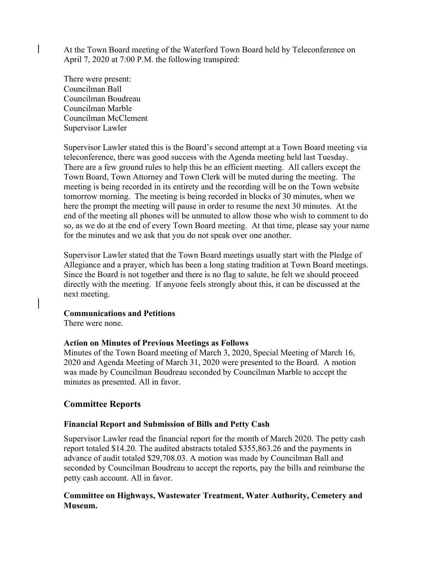At the Town Board meeting of the Waterford Town Board held by Teleconference on April 7, 2020 at 7:00 P.M. the following transpired:

There were present: Councilman Ball Councilman Boudreau Councilman Marble Councilman McClement Supervisor Lawler

Supervisor Lawler stated this is the Board's second attempt at a Town Board meeting via teleconference, there was good success with the Agenda meeting held last Tuesday. There are a few ground rules to help this be an efficient meeting. All callers except the Town Board, Town Attorney and Town Clerk will be muted during the meeting. The meeting is being recorded in its entirety and the recording will be on the Town website tomorrow morning. The meeting is being recorded in blocks of 30 minutes, when we here the prompt the meeting will pause in order to resume the next 30 minutes. At the end of the meeting all phones will be unmuted to allow those who wish to comment to do so, as we do at the end of every Town Board meeting. At that time, please say your name for the minutes and we ask that you do not speak over one another.

Supervisor Lawler stated that the Town Board meetings usually start with the Pledge of Allegiance and a prayer, which has been a long stating tradition at Town Board meetings. Since the Board is not together and there is no flag to salute, he felt we should proceed directly with the meeting. If anyone feels strongly about this, it can be discussed at the next meeting.

### **Communications and Petitions**

There were none.

### **Action on Minutes of Previous Meetings as Follows**

Minutes of the Town Board meeting of March 3, 2020, Special Meeting of March 16, 2020 and Agenda Meeting of March 31, 2020 were presented to the Board. A motion was made by Councilman Boudreau seconded by Councilman Marble to accept the minutes as presented. All in favor.

## **Committee Reports**

### **Financial Report and Submission of Bills and Petty Cash**

Supervisor Lawler read the financial report for the month of March 2020. The petty cash report totaled \$14.20. The audited abstracts totaled \$355,863.26 and the payments in advance of audit totaled \$29,708.03. A motion was made by Councilman Ball and seconded by Councilman Boudreau to accept the reports, pay the bills and reimburse the petty cash account. All in favor.

## **Committee on Highways, Wastewater Treatment, Water Authority, Cemetery and Museum.**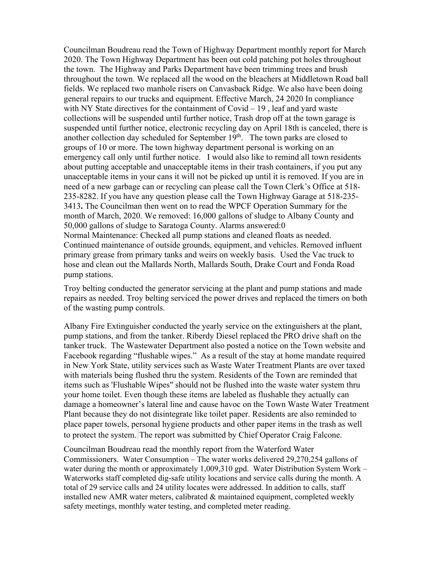Councilman Boudreau read the Town of Highway Department monthly report for March 2020. The Town Highway Department has been out cold patching pot holes throughout the town. The Highway and Parks Department have been trimming trees and brush throughout the town. We replaced all the wood on the bleachers at Middletown Road ball fields. We replaced two manhole risers on Canvasback Ridge. We also have been doing general repairs to our trucks and equipment. Effective March, 24 2020 In compliance with NY State directives for the containment of Covid – 19, leaf and yard waste collections will be suspended until further notice, Trash drop off at the town garage is suspended until further notice, electronic recycling day on April 18th is canceled, there is another collection day scheduled for September  $19<sup>th</sup>$ . The town parks are closed to groups of 10 or more. The town highway department personal is working on an emergency call only until further notice. I would also like to remind all town residents about putting acceptable and unacceptable items in their trash containers, if you put any unacceptable items in your cans it will not be picked up until it is removed. If you are in need of a new garbage can or recycling can please call the Town Clerk's Office at 518- 235-8282. If you have any question please call the Town Highway Garage at 518-235- 3413**.** The Councilman then went on to read the WPCF Operation Summary for the month of March, 2020. We removed: 16,000 gallons of sludge to Albany County and 50,000 gallons of sludge to Saratoga County. Alarms answered:0 Normal Maintenance: Checked all pump stations and cleaned floats as needed. Continued maintenance of outside grounds, equipment, and vehicles. Removed influent primary grease from primary tanks and weirs on weekly basis. Used the Vac truck to hose and clean out the Mallards North, Mallards South, Drake Court and Fonda Road pump stations.

Troy belting conducted the generator servicing at the plant and pump stations and made repairs as needed. Troy belting serviced the power drives and replaced the timers on both of the wasting pump controls.

Albany Fire Extinguisher conducted the yearly service on the extinguishers at the plant, pump stations, and from the tanker. Riberdy Diesel replaced the PRO drive shaft on the tanker truck. The Wastewater Department also posted a notice on the Town website and Facebook regarding "flushable wipes." As a result of the stay at home mandate required in New York State, utility services such as Waste Water Treatment Plants are over taxed with materials being flushed thru the system. Residents of the Town are reminded that items such as 'Flushable Wipes" should not be flushed into the waste water system thru your home toilet. Even though these items are labeled as flushable they actually can damage a homeowner's lateral line and cause havoc on the Town Waste Water Treatment Plant because they do not disintegrate like toilet paper. Residents are also reminded to place paper towels, personal hygiene products and other paper items in the trash as well to protect the system. The report was submitted by Chief Operator Craig Falcone.

Councilman Boudreau read the monthly report from the Waterford Water Commissioners. Water Consumption – The water works delivered 29,270,254 gallons of water during the month or approximately 1,009,310 gpd. Water Distribution System Work – Waterworks staff completed dig-safe utility locations and service calls during the month. A total of 29 service calls and 24 utility locates were addressed. In addition to calls, staff installed new AMR water meters, calibrated & maintained equipment, completed weekly safety meetings, monthly water testing, and completed meter reading.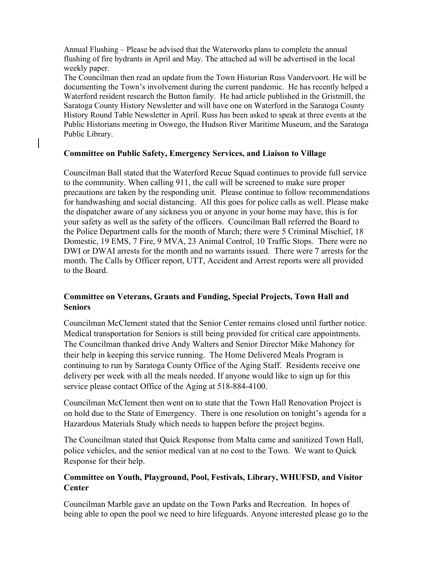Annual Flushing – Please be advised that the Waterworks plans to complete the annual flushing of fire hydrants in April and May. The attached ad will be advertised in the local weekly paper.

The Councilman then read an update from the Town Historian Russ Vandervoort. He will be documenting the Town's involvement during the current pandemic. He has recently helped a Waterford resident research the Button family. He had article published in the Gristmill, the Saratoga County History Newsletter and will have one on Waterford in the Saratoga County History Round Table Newsletter in April. Russ has been asked to speak at three events at the Public Historians meeting in Oswego, the Hudson River Maritime Museum, and the Saratoga Public Library.

### **Committee on Public Safety, Emergency Services, and Liaison to Village**

Councilman Ball stated that the Waterford Recue Squad continues to provide full service to the community. When calling 911, the call will be screened to make sure proper precautions are taken by the responding unit. Please continue to follow recommendations for handwashing and social distancing. All this goes for police calls as well. Please make the dispatcher aware of any sickness you or anyone in your home may have, this is for your safety as well as the safety of the officers. Councilman Ball referred the Board to the Police Department calls for the month of March; there were 5 Criminal Mischief, 18 Domestic, 19 EMS, 7 Fire, 9 MVA, 23 Animal Control, 10 Traffic Stops. There were no DWI or DWAI arrests for the month and no warrants issued. There were 7 arrests for the month. The Calls by Officer report, UTT, Accident and Arrest reports were all provided to the Board.

# **Committee on Veterans, Grants and Funding, Special Projects, Town Hall and Seniors**

Councilman McClement stated that the Senior Center remains closed until further notice. Medical transportation for Seniors is still being provided for critical care appointments. The Councilman thanked drive Andy Walters and Senior Director Mike Mahoney for their help in keeping this service running. The Home Delivered Meals Program is continuing to run by Saratoga County Office of the Aging Staff. Residents receive one delivery per week with all the meals needed. If anyone would like to sign up for this service please contact Office of the Aging at 518-884-4100.

Councilman McClement then went on to state that the Town Hall Renovation Project is on hold due to the State of Emergency. There is one resolution on tonight's agenda for a Hazardous Materials Study which needs to happen before the project begins.

The Councilman stated that Quick Response from Malta came and sanitized Town Hall, police vehicles, and the senior medical van at no cost to the Town. We want to Quick Response for their help.

# **Committee on Youth, Playground, Pool, Festivals, Library, WHUFSD, and Visitor Center**

Councilman Marble gave an update on the Town Parks and Recreation. In hopes of being able to open the pool we need to hire lifeguards. Anyone interested please go to the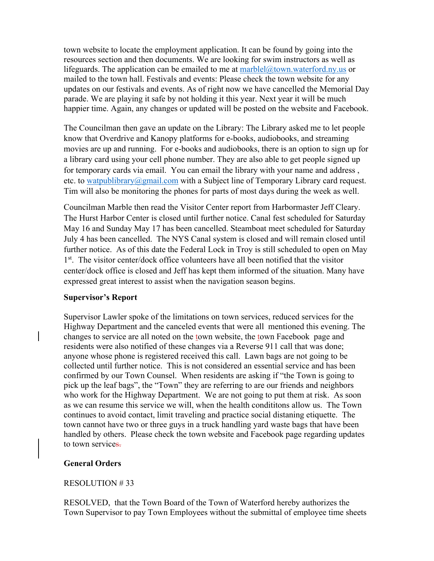town website to locate the employment application. It can be found by going into the resources section and then documents. We are looking for swim instructors as well as lifeguards. The application can be emailed to me at  $marble(\omega)$  town.waterford.ny.us or mailed to the town hall. Festivals and events: Please check the town website for any updates on our festivals and events. As of right now we have cancelled the Memorial Day parade. We are playing it safe by not holding it this year. Next year it will be much happier time. Again, any changes or updated will be posted on the website and Facebook.

The Councilman then gave an update on the Library: The Library asked me to let people know that Overdrive and Kanopy platforms for e-books, audiobooks, and streaming movies are up and running. For e-books and audiobooks, there is an option to sign up for a library card using your cell phone number. They are also able to get people signed up for temporary cards via email. You can email the library with your name and address , etc. to watpublibrary@gmail.com with a Subject line of Temporary Library card request. Tim will also be monitoring the phones for parts of most days during the week as well.

Councilman Marble then read the Visitor Center report from Harbormaster Jeff Cleary. The Hurst Harbor Center is closed until further notice. Canal fest scheduled for Saturday May 16 and Sunday May 17 has been cancelled. Steamboat meet scheduled for Saturday July 4 has been cancelled. The NYS Canal system is closed and will remain closed until further notice. As of this date the Federal Lock in Troy is still scheduled to open on May 1<sup>st</sup>. The visitor center/dock office volunteers have all been notified that the visitor center/dock office is closed and Jeff has kept them informed of the situation. Many have expressed great interest to assist when the navigation season begins.

### **Supervisor's Report**

Supervisor Lawler spoke of the limitations on town services, reduced services for the Highway Department and the canceled events that were all mentioned this evening. The changes to service are all noted on the town website, the town Facebook page and residents were also notified of these changes via a Reverse 911 call that was done; anyone whose phone is registered received this call. Lawn bags are not going to be collected until further notice. This is not considered an essential service and has been confirmed by our Town Counsel. When residents are asking if "the Town is going to pick up the leaf bags", the "Town" they are referring to are our friends and neighbors who work for the Highway Department. We are not going to put them at risk. As soon as we can resume this service we will, when the health condititons allow us. The Town continues to avoid contact, limit traveling and practice social distaning etiquette. The town cannot have two or three guys in a truck handling yard waste bags that have been handled by others. Please check the town website and Facebook page regarding updates to town services.

## **General Orders**

## RESOLUTION # 33

RESOLVED, that the Town Board of the Town of Waterford hereby authorizes the Town Supervisor to pay Town Employees without the submittal of employee time sheets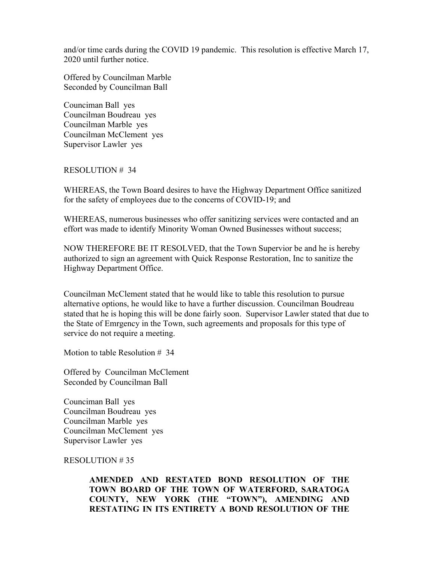and/or time cards during the COVID 19 pandemic. This resolution is effective March 17, 2020 until further notice.

Offered by Councilman Marble Seconded by Councilman Ball

Counciman Ball yes Councilman Boudreau yes Councilman Marble yes Councilman McClement yes Supervisor Lawler yes

#### RESOLUTION # 34

WHEREAS, the Town Board desires to have the Highway Department Office sanitized for the safety of employees due to the concerns of COVID-19; and

WHEREAS, numerous businesses who offer sanitizing services were contacted and an effort was made to identify Minority Woman Owned Businesses without success;

NOW THEREFORE BE IT RESOLVED, that the Town Supervior be and he is hereby authorized to sign an agreement with Quick Response Restoration, Inc to sanitize the Highway Department Office.

Councilman McClement stated that he would like to table this resolution to pursue alternative options, he would like to have a further discussion. Councilman Boudreau stated that he is hoping this will be done fairly soon. Supervisor Lawler stated that due to the State of Emrgency in the Town, such agreements and proposals for this type of service do not require a meeting.

Motion to table Resolution # 34

Offered by Councilman McClement Seconded by Councilman Ball

Counciman Ball yes Councilman Boudreau yes Councilman Marble yes Councilman McClement yes Supervisor Lawler yes

#### RESOLUTION # 35

**AMENDED AND RESTATED BOND RESOLUTION OF THE TOWN BOARD OF THE TOWN OF WATERFORD, SARATOGA COUNTY, NEW YORK (THE "TOWN"), AMENDING AND RESTATING IN ITS ENTIRETY A BOND RESOLUTION OF THE**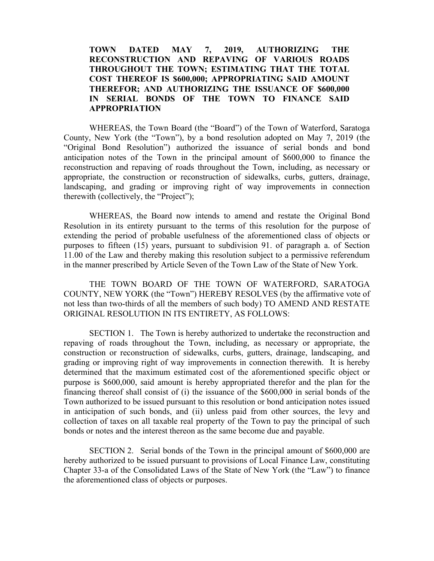### **TOWN DATED MAY 7, 2019, AUTHORIZING THE RECONSTRUCTION AND REPAVING OF VARIOUS ROADS THROUGHOUT THE TOWN; ESTIMATING THAT THE TOTAL COST THEREOF IS \$600,000; APPROPRIATING SAID AMOUNT THEREFOR; AND AUTHORIZING THE ISSUANCE OF \$600,000 IN SERIAL BONDS OF THE TOWN TO FINANCE SAID APPROPRIATION**

WHEREAS, the Town Board (the "Board") of the Town of Waterford, Saratoga County, New York (the "Town"), by a bond resolution adopted on May 7, 2019 (the "Original Bond Resolution") authorized the issuance of serial bonds and bond anticipation notes of the Town in the principal amount of \$600,000 to finance the reconstruction and repaving of roads throughout the Town, including, as necessary or appropriate, the construction or reconstruction of sidewalks, curbs, gutters, drainage, landscaping, and grading or improving right of way improvements in connection therewith (collectively, the "Project");

WHEREAS, the Board now intends to amend and restate the Original Bond Resolution in its entirety pursuant to the terms of this resolution for the purpose of extending the period of probable usefulness of the aforementioned class of objects or purposes to fifteen (15) years, pursuant to subdivision 91. of paragraph a. of Section 11.00 of the Law and thereby making this resolution subject to a permissive referendum in the manner prescribed by Article Seven of the Town Law of the State of New York.

THE TOWN BOARD OF THE TOWN OF WATERFORD, SARATOGA COUNTY, NEW YORK (the "Town") HEREBY RESOLVES (by the affirmative vote of not less than two-thirds of all the members of such body) TO AMEND AND RESTATE ORIGINAL RESOLUTION IN ITS ENTIRETY, AS FOLLOWS:

SECTION 1. The Town is hereby authorized to undertake the reconstruction and repaving of roads throughout the Town, including, as necessary or appropriate, the construction or reconstruction of sidewalks, curbs, gutters, drainage, landscaping, and grading or improving right of way improvements in connection therewith. It is hereby determined that the maximum estimated cost of the aforementioned specific object or purpose is \$600,000, said amount is hereby appropriated therefor and the plan for the financing thereof shall consist of (i) the issuance of the \$600,000 in serial bonds of the Town authorized to be issued pursuant to this resolution or bond anticipation notes issued in anticipation of such bonds, and (ii) unless paid from other sources, the levy and collection of taxes on all taxable real property of the Town to pay the principal of such bonds or notes and the interest thereon as the same become due and payable.

SECTION 2. Serial bonds of the Town in the principal amount of \$600,000 are hereby authorized to be issued pursuant to provisions of Local Finance Law, constituting Chapter 33-a of the Consolidated Laws of the State of New York (the "Law") to finance the aforementioned class of objects or purposes.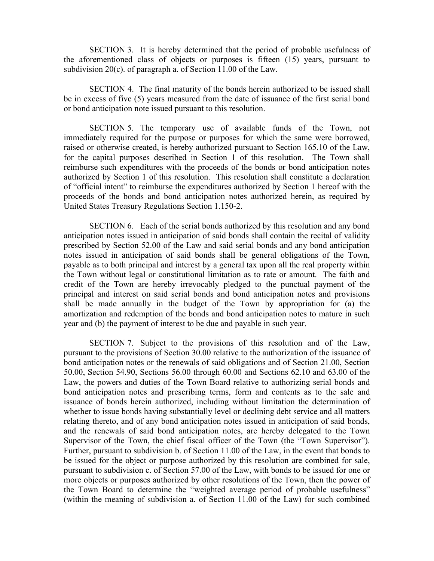SECTION 3. It is hereby determined that the period of probable usefulness of the aforementioned class of objects or purposes is fifteen (15) years, pursuant to subdivision 20(c). of paragraph a. of Section 11.00 of the Law.

SECTION 4. The final maturity of the bonds herein authorized to be issued shall be in excess of five (5) years measured from the date of issuance of the first serial bond or bond anticipation note issued pursuant to this resolution.

SECTION 5. The temporary use of available funds of the Town, not immediately required for the purpose or purposes for which the same were borrowed, raised or otherwise created, is hereby authorized pursuant to Section 165.10 of the Law, for the capital purposes described in Section 1 of this resolution. The Town shall reimburse such expenditures with the proceeds of the bonds or bond anticipation notes authorized by Section 1 of this resolution. This resolution shall constitute a declaration of "official intent" to reimburse the expenditures authorized by Section 1 hereof with the proceeds of the bonds and bond anticipation notes authorized herein, as required by United States Treasury Regulations Section 1.150-2.

SECTION 6. Each of the serial bonds authorized by this resolution and any bond anticipation notes issued in anticipation of said bonds shall contain the recital of validity prescribed by Section 52.00 of the Law and said serial bonds and any bond anticipation notes issued in anticipation of said bonds shall be general obligations of the Town, payable as to both principal and interest by a general tax upon all the real property within the Town without legal or constitutional limitation as to rate or amount. The faith and credit of the Town are hereby irrevocably pledged to the punctual payment of the principal and interest on said serial bonds and bond anticipation notes and provisions shall be made annually in the budget of the Town by appropriation for (a) the amortization and redemption of the bonds and bond anticipation notes to mature in such year and (b) the payment of interest to be due and payable in such year.

SECTION 7. Subject to the provisions of this resolution and of the Law, pursuant to the provisions of Section 30.00 relative to the authorization of the issuance of bond anticipation notes or the renewals of said obligations and of Section 21.00, Section 50.00, Section 54.90, Sections 56.00 through 60.00 and Sections 62.10 and 63.00 of the Law, the powers and duties of the Town Board relative to authorizing serial bonds and bond anticipation notes and prescribing terms, form and contents as to the sale and issuance of bonds herein authorized, including without limitation the determination of whether to issue bonds having substantially level or declining debt service and all matters relating thereto, and of any bond anticipation notes issued in anticipation of said bonds, and the renewals of said bond anticipation notes, are hereby delegated to the Town Supervisor of the Town, the chief fiscal officer of the Town (the "Town Supervisor"). Further, pursuant to subdivision b. of Section 11.00 of the Law, in the event that bonds to be issued for the object or purpose authorized by this resolution are combined for sale, pursuant to subdivision c. of Section 57.00 of the Law, with bonds to be issued for one or more objects or purposes authorized by other resolutions of the Town, then the power of the Town Board to determine the "weighted average period of probable usefulness" (within the meaning of subdivision a. of Section 11.00 of the Law) for such combined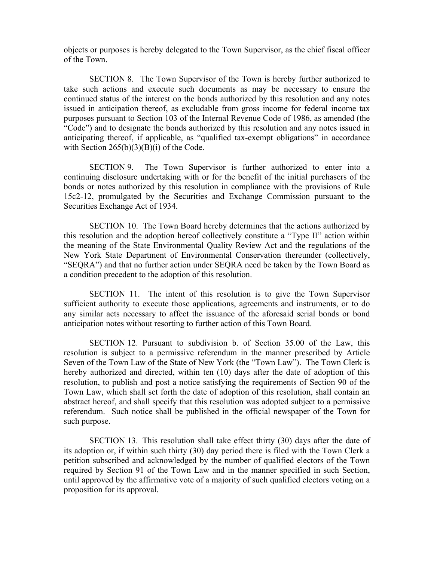objects or purposes is hereby delegated to the Town Supervisor, as the chief fiscal officer of the Town.

SECTION 8. The Town Supervisor of the Town is hereby further authorized to take such actions and execute such documents as may be necessary to ensure the continued status of the interest on the bonds authorized by this resolution and any notes issued in anticipation thereof, as excludable from gross income for federal income tax purposes pursuant to Section 103 of the Internal Revenue Code of 1986, as amended (the "Code") and to designate the bonds authorized by this resolution and any notes issued in anticipating thereof, if applicable, as "qualified tax-exempt obligations" in accordance with Section  $265(b)(3)(B)(i)$  of the Code.

SECTION 9. The Town Supervisor is further authorized to enter into a continuing disclosure undertaking with or for the benefit of the initial purchasers of the bonds or notes authorized by this resolution in compliance with the provisions of Rule 15c2-12, promulgated by the Securities and Exchange Commission pursuant to the Securities Exchange Act of 1934.

SECTION 10. The Town Board hereby determines that the actions authorized by this resolution and the adoption hereof collectively constitute a "Type II" action within the meaning of the State Environmental Quality Review Act and the regulations of the New York State Department of Environmental Conservation thereunder (collectively, "SEQRA") and that no further action under SEQRA need be taken by the Town Board as a condition precedent to the adoption of this resolution.

SECTION 11. The intent of this resolution is to give the Town Supervisor sufficient authority to execute those applications, agreements and instruments, or to do any similar acts necessary to affect the issuance of the aforesaid serial bonds or bond anticipation notes without resorting to further action of this Town Board.

SECTION 12. Pursuant to subdivision b. of Section 35.00 of the Law, this resolution is subject to a permissive referendum in the manner prescribed by Article Seven of the Town Law of the State of New York (the "Town Law"). The Town Clerk is hereby authorized and directed, within ten (10) days after the date of adoption of this resolution, to publish and post a notice satisfying the requirements of Section 90 of the Town Law, which shall set forth the date of adoption of this resolution, shall contain an abstract hereof, and shall specify that this resolution was adopted subject to a permissive referendum. Such notice shall be published in the official newspaper of the Town for such purpose.

SECTION 13. This resolution shall take effect thirty (30) days after the date of its adoption or, if within such thirty (30) day period there is filed with the Town Clerk a petition subscribed and acknowledged by the number of qualified electors of the Town required by Section 91 of the Town Law and in the manner specified in such Section, until approved by the affirmative vote of a majority of such qualified electors voting on a proposition for its approval.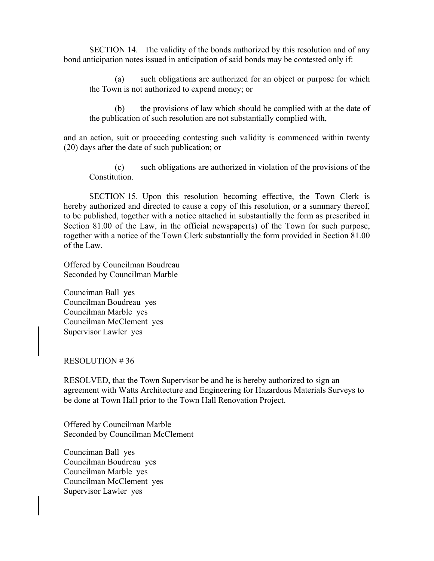SECTION 14. The validity of the bonds authorized by this resolution and of any bond anticipation notes issued in anticipation of said bonds may be contested only if:

(a) such obligations are authorized for an object or purpose for which the Town is not authorized to expend money; or

(b) the provisions of law which should be complied with at the date of the publication of such resolution are not substantially complied with,

and an action, suit or proceeding contesting such validity is commenced within twenty (20) days after the date of such publication; or

(c) such obligations are authorized in violation of the provisions of the Constitution.

SECTION 15. Upon this resolution becoming effective, the Town Clerk is hereby authorized and directed to cause a copy of this resolution, or a summary thereof, to be published, together with a notice attached in substantially the form as prescribed in Section 81.00 of the Law, in the official newspaper(s) of the Town for such purpose, together with a notice of the Town Clerk substantially the form provided in Section 81.00 of the Law.

Offered by Councilman Boudreau Seconded by Councilman Marble

Counciman Ball yes Councilman Boudreau yes Councilman Marble yes Councilman McClement yes Supervisor Lawler yes

#### RESOLUTION # 36

RESOLVED, that the Town Supervisor be and he is hereby authorized to sign an agreement with Watts Architecture and Engineering for Hazardous Materials Surveys to be done at Town Hall prior to the Town Hall Renovation Project.

Offered by Councilman Marble Seconded by Councilman McClement

Counciman Ball yes Councilman Boudreau yes Councilman Marble yes Councilman McClement yes Supervisor Lawler yes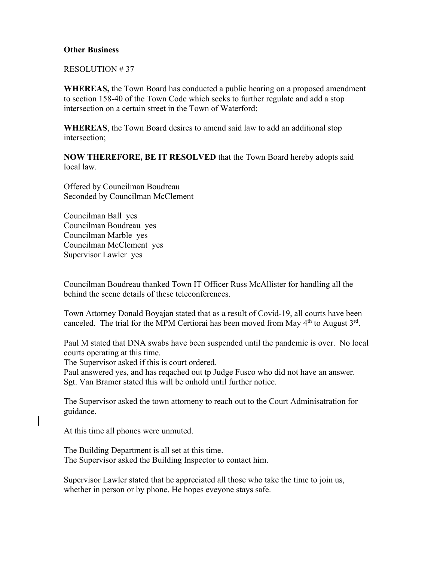### **Other Business**

RESOLUTION # 37

**WHEREAS,** the Town Board has conducted a public hearing on a proposed amendment to section 158-40 of the Town Code which seeks to further regulate and add a stop intersection on a certain street in the Town of Waterford;

**WHEREAS**, the Town Board desires to amend said law to add an additional stop intersection;

**NOW THEREFORE, BE IT RESOLVED** that the Town Board hereby adopts said local law.

Offered by Councilman Boudreau Seconded by Councilman McClement

Councilman Ball yes Councilman Boudreau yes Councilman Marble yes Councilman McClement yes Supervisor Lawler yes

Councilman Boudreau thanked Town IT Officer Russ McAllister for handling all the behind the scene details of these teleconferences.

Town Attorney Donald Boyajan stated that as a result of Covid-19, all courts have been canceled. The trial for the MPM Certiorai has been moved from May  $4<sup>th</sup>$  to August  $3<sup>rd</sup>$ .

Paul M stated that DNA swabs have been suspended until the pandemic is over. No local courts operating at this time.

The Supervisor asked if this is court ordered.

Paul answered yes, and has reqached out tp Judge Fusco who did not have an answer. Sgt. Van Bramer stated this will be onhold until further notice.

The Supervisor asked the town attorneny to reach out to the Court Adminisatration for guidance.

At this time all phones were unmuted.

The Building Department is all set at this time. The Supervisor asked the Building Inspector to contact him.

Supervisor Lawler stated that he appreciated all those who take the time to join us, whether in person or by phone. He hopes eveyone stays safe.